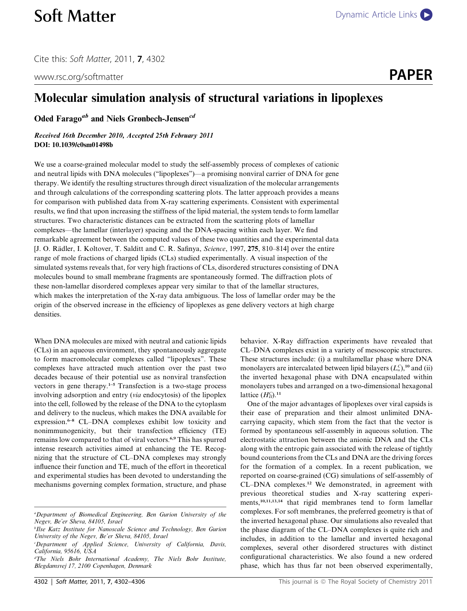Cite this: Soft Matter, 2011, 7, 4302

www.rsc.org/softmatter **PAPER** 



## Molecular simulation analysis of structural variations in lipoplexes

Oded Farago<sup>ab</sup> and Niels Grønbech-Jensen<sup>cd</sup>

Received 16th December 2010, Accepted 25th February 2011 DOI: 10.1039/c0sm01498b

We use a coarse-grained molecular model to study the self-assembly process of complexes of cationic and neutral lipids with DNA molecules (''lipoplexes'')—a promising nonviral carrier of DNA for gene therapy. We identify the resulting structures through direct visualization of the molecular arrangements and through calculations of the corresponding scattering plots. The latter approach provides a means for comparison with published data from X-ray scattering experiments. Consistent with experimental results, we find that upon increasing the stiffness of the lipid material, the system tends to form lamellar structures. Two characteristic distances can be extracted from the scattering plots of lamellar complexes—the lamellar (interlayer) spacing and the DNA-spacing within each layer. We find remarkable agreement between the computed values of these two quantities and the experimental data [J. O. Rädler, I. Koltover, T. Salditt and C. R. Safinya, Science, 1997, 275, 810–814] over the entire range of mole fractions of charged lipids (CLs) studied experimentally. A visual inspection of the simulated systems reveals that, for very high fractions of CLs, disordered structures consisting of DNA molecules bound to small membrane fragments are spontaneously formed. The diffraction plots of these non-lamellar disordered complexes appear very similar to that of the lamellar structures, which makes the interpretation of the X-ray data ambiguous. The loss of lamellar order may be the origin of the observed increase in the efficiency of lipoplexes as gene delivery vectors at high charge densities.

When DNA molecules are mixed with neutral and cationic lipids (CLs) in an aqueous environment, they spontaneously aggregate to form macromolecular complexes called ''lipoplexes''. These complexes have attracted much attention over the past two decades because of their potential use as nonviral transfection vectors in gene therapy.<sup>1-5</sup> Transfection is a two-stage process involving adsorption and entry (via endocytosis) of the lipoplex into the cell, followed by the release of the DNA to the cytoplasm and delivery to the nucleus, which makes the DNA available for expression.<sup>6–8</sup> CL–DNA complexes exhibit low toxicity and nonimmunogenicity, but their transfection efficiency (TE) remains low compared to that of viral vectors.<sup>6,9</sup> This has spurred intense research activities aimed at enhancing the TE. Recognizing that the structure of CL–DNA complexes may strongly influence their function and TE, much of the effort in theoretical and experimental studies has been devoted to understanding the mechanisms governing complex formation, structure, and phase

behavior. X-Ray diffraction experiments have revealed that CL–DNA complexes exist in a variety of mesoscopic structures. These structures include: (i) a multilamellar phase where DNA monolayers are intercalated between lipid bilayers  $(L_{\alpha}^{\circ})$ ,<sup>10</sup> and (ii) the inverted hexagonal phase with DNA encapsulated within monolayers tubes and arranged on a two-dimensional hexagonal lattice  $(H_{II}^C)^{11}$ 

One of the major advantages of lipoplexes over viral capsids is their ease of preparation and their almost unlimited DNAcarrying capacity, which stem from the fact that the vector is formed by spontaneous self-assembly in aqueous solution. The electrostatic attraction between the anionic DNA and the CLs along with the entropic gain associated with the release of tightly bound counterions from the CLs and DNA are the driving forces for the formation of a complex. In a recent publication, we reported on coarse-grained (CG) simulations of self-assembly of CL–DNA complexes.<sup>12</sup> We demonstrated, in agreement with previous theoretical studies and X-ray scattering experiments,10,11,13,14 that rigid membranes tend to form lamellar complexes. For soft membranes, the preferred geometry is that of the inverted hexagonal phase. Our simulations also revealed that the phase diagram of the CL–DNA complexes is quite rich and includes, in addition to the lamellar and inverted hexagonal complexes, several other disordered structures with distinct configurational characteristics. We also found a new ordered phase, which has thus far not been observed experimentally,

a Department of Biomedical Engineering, Ben Gurion University of the Negev, Be'er Sheva, 84105, Israel

<sup>&</sup>lt;sup>b</sup>Ilse Katz Institute for Nanoscale Science and Technology, Ben Gurion University of the Negev, Be'er Sheva, 84105, Israel

<sup>&</sup>lt;sup>c</sup>Department of Applied Science, University of California, Davis, California, 95616, USA

d The Niels Bohr International Academy, The Niels Bohr Institute, Blegdamsvej 17, 2100 Copenhagen, Denmark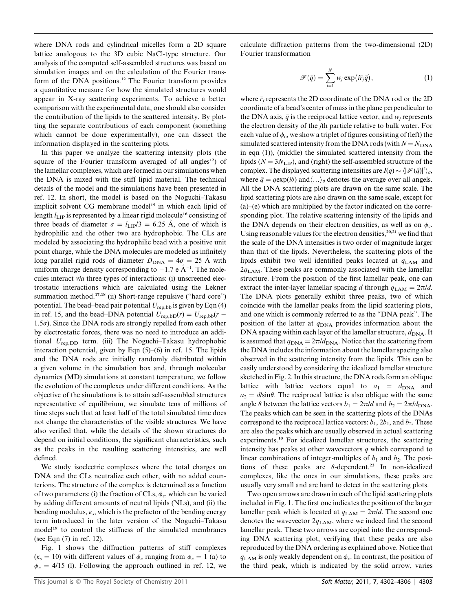where DNA rods and cylindrical micelles form a 2D square lattice analogous to the 3D cubic NaCl-type structure. Our analysis of the computed self-assembled structures was based on simulation images and on the calculation of the Fourier transform of the DNA positions.<sup>12</sup> The Fourier transform provides a quantitative measure for how the simulated structures would appear in X-ray scattering experiments. To achieve a better comparison with the experimental data, one should also consider the contribution of the lipids to the scattered intensity. By plotting the separate contributions of each component (something which cannot be done experimentally), one can dissect the information displayed in the scattering plots.

In this paper we analyze the scattering intensity plots (the square of the Fourier transform averaged of all angles<sup>12</sup>) of the lamellar complexes, which are formed in our simulations when the DNA is mixed with the stiff lipid material. The technical details of the model and the simulations have been presented in ref. 12. In short, the model is based on the Noguchi–Takasu implicit solvent CG membrane model<sup>15</sup> in which each lipid of length  $l_{\text{LIP}}$  is represented by a linear rigid molecule<sup>16</sup> consisting of three beads of diameter  $\sigma = l_{\text{LIP}}/3 = 6.25 \text{ Å}$ , one of which is hydrophilic and the other two are hydrophobic. The CLs are modeled by associating the hydrophilic bead with a positive unit point charge, while the DNA molecules are modeled as infinitely long parallel rigid rods of diameter  $D_{\text{DNA}} = 4\sigma = 25 \text{ Å}$  with uniform charge density corresponding to  $-1.7$  e  $\AA^{-1}$ . The molecules interact via three types of interactions: (i) unscreened electrostatic interactions which are calculated using the Lekner summation method.<sup>17,18</sup> (ii) Short-range repulsive ("hard core") potential. The bead–bead pair potential  $U_{\text{rep},\text{bb}}$  is given by Eqn (4) in ref. 15, and the bead–DNA potential  $U_{\text{rep},\text{bD}}(r) = U_{\text{rep},\text{bD}}(r - r)$ 1.5 $\sigma$ ). Since the DNA rods are strongly repelled from each other by electrostatic forces, there was no need to introduce an additional  $U_{\text{ren,DD}}$  term. (iii) The Noguchi–Takasu hydrophobic interaction potential, given by Eqn (5)–(6) in ref. 15. The lipids and the DNA rods are initially randomly distributed within a given volume in the simulation box and, through molecular dynamics (MD) simulations at constant temperature, we follow the evolution of the complexes under different conditions. As the objective of the simulations is to attain self-assembled structures representative of equilibrium, we simulate tens of millions of time steps such that at least half of the total simulated time does not change the characteristics of the visible structures. We have also verified that, while the details of the shown structures do depend on initial conditions, the significant characteristics, such as the peaks in the resulting scattering intensities, are well defined.

We study isoelectric complexes where the total charges on DNA and the CLs neutralize each other, with no added counterions. The structure of the complex is determined as a function of two parameters: (i) the fraction of CLs,  $\phi_c$ , which can be varied by adding different amounts of neutral lipids (NLs), and (ii) the bending modulus,  $\kappa_s$ , which is the prefactor of the bending energy term introduced in the later version of the Noguchi–Takasu model<sup>19</sup> to control the stiffness of the simulated membranes (see Eqn (7) in ref. 12).

Fig. 1 shows the diffraction patterns of stiff complexes ( $\kappa_s = 10$ ) with different values of  $\phi_c$  ranging from  $\phi_c = 1$  (a) to  $\phi_c = 4/15$  (l). Following the approach outlined in ref. 12, we

calculate diffraction patterns from the two-dimensional (2D) Fourier transformation

$$
\mathscr{F}(\bar{q}) = \sum_{j=1}^{N} w_j \exp(i\bar{r}_j\bar{q}), \qquad (1)
$$

where  $\bar{r}_i$  represents the 2D coordinate of the DNA rod or the 2D coordinate of a bead's center of mass in the plane perpendicular to the DNA axis,  $\bar{q}$  is the reciprocal lattice vector, and  $w_i$  represents the electron density of the jth particle relative to bulk water. For each value of  $\phi_c$ , we show a triplet of figures consisting of (left) the simulated scattered intensity from the DNA rods (with  $N = N_{\text{DNA}}$ in eqn (1)), (middle) the simulated scattered intensity from the lipids ( $N = 3N<sub>LIP</sub>$ ), and (right) the self-assembled structure of the complex. The displayed scattering intensities are  $I(q) \sim \langle |\mathcal{F}(\bar{q})|^2 \rangle_{\theta}$ , where  $\bar{q} = q \exp(i\theta)$  and $\langle \ldots \rangle_{\theta}$  denotes the average over all angels. All the DNA scattering plots are drawn on the same scale. The lipid scattering plots are also drawn on the same scale, except for (a)–(e) which are multiplied by the factor indicated on the corresponding plot. The relative scattering intensity of the lipids and the DNA depends on their electron densities, as well as on  $\phi_c$ . Using reasonable values for the electron densities,  $20,21$  we find that the scale of the DNA intensities is two order of magnitude larger than that of the lipids. Nevertheless, the scattering plots of the lipids exhibit two well identified peaks located at  $q_{\text{LAM}}$  and  $2q_{LAM}$ . These peaks are commonly associated with the lamellar structure. From the position of the first lamellar peak, one can extract the inter-layer lamellar spacing d through  $q_{\text{LAM}} = 2\pi/d$ . The DNA plots generally exhibit three peaks, two of which coincide with the lamellar peaks from the lipid scattering plots, and one which is commonly referred to as the ''DNA peak''. The position of the latter at  $q_{\text{DNA}}$  provides information about the DNA spacing within each layer of the lamellar structure,  $d_{\text{DNA}}$ . It is assumed that  $q_{\text{DNA}} = 2\pi/d_{\text{DNA}}$ . Notice that the scattering from the DNA includes the information about the lamellar spacing also observed in the scattering intensity from the lipids. This can be easily understood by considering the idealized lamellar structure sketched in Fig. 2. In this structure, the DNA rods form an oblique lattice with lattice vectors equal to  $a_1 = d_{\text{DNA}}$  and  $a_2 = d/\sin\theta$ . The reciprocal lattice is also oblique with the same angle  $\theta$  between the lattice vectors  $b_1 = 2\pi/d$  and  $b_2 = 2\pi/d_{\text{DNA}}$ . The peaks which can be seen in the scattering plots of the DNAs correspond to the reciprocal lattice vectors:  $b_1$ ,  $2b_1$ , and  $b_2$ . These are also the peaks which are usually observed in actual scattering experiments.<sup>10</sup> For idealized lamellar structures, the scattering intensity has peaks at other wavevectors  $q$  which correspond to linear combinations of integer-multiples of  $b_1$  and  $b_2$ . The positions of these peaks are  $\theta$ -dependent.<sup>22</sup> In non-idealized complexes, like the ones in our simulations, these peaks are usually very small and are hard to detect in the scattering plots.

Two open arrows are drawn in each of the lipid scattering plots included in Fig. 1. The first one indicates the position of the larger lamellar peak which is located at  $q_{\text{LAM}} = 2\pi/d$ . The second one denotes the wavevector  $2q_{LAM}$ , where we indeed find the second lamellar peak. These two arrows are copied into the corresponding DNA scattering plot, verifying that these peaks are also reproduced by the DNA ordering as explained above. Notice that  $q_{\text{LAM}}$  is only weakly dependent on  $\phi_c$ . In contrast, the position of the third peak, which is indicated by the solid arrow, varies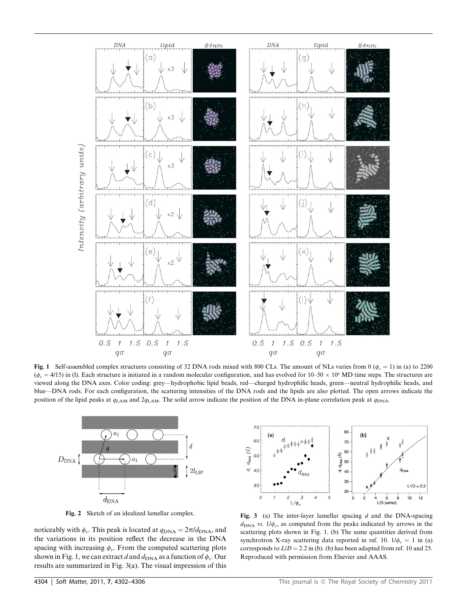

Fig. 1 Self-assembled complex structures consisting of 32 DNA rods mixed with 800 CLs. The amount of NLs varies from 0 ( $\phi_c = 1$ ) in (a) to 2200  $(\phi_c = 4/15)$  in (l). Each structure is initiated in a random molecular configuration, and has evolved for 10–50  $\times$  10<sup>6</sup> MD time steps. The structures are viewed along the DNA axes. Color coding: grey—hydrophobic lipid beads, red—charged hydrophilic heads, green—neutral hydrophilic heads, and blue—DNA rods. For each configuration, the scattering intensities of the DNA rods and the lipids are also plotted. The open arrows indicate the position of the lipid peaks at  $q_{\text{LAM}}$  and  $2q_{\text{LAM}}$ . The solid arrow indicate the position of the DNA in-plane correlation peak at  $q_{\text{DNA}}$ .



noticeably with  $\phi_c$ . This peak is located at  $q_{\text{DNA}} = 2\pi/d_{\text{DNA}}$ , and the variations in its position reflect the decrease in the DNA spacing with increasing  $\phi_c$ . From the computed scattering plots shown in Fig. 1, we can extract d and  $d_{\text{DNA}}$  as a function of  $\phi_c$ . Our results are summarized in Fig. 3(a). The visual impression of this



Fig. 2 Sketch of an idealized lamellar complex.<br>Fig. 3 (a) The inter-layer lamellar spacing d and the DNA-spacing  $d_{\text{DNA}}$  vs.  $1/\phi_c$ , as computed from the peaks indicated by arrows in the scattering plots shown in Fig. 1. (b) The same quantities derived from synchrotron X-ray scattering data reported in ref. 10.  $1/\phi_c = 1$  in (a) corresponds to  $L/D = 2.2$  in (b). (b) has been adapted from ref. 10 and 25. Reproduced with permission from Elsevier and AAAS.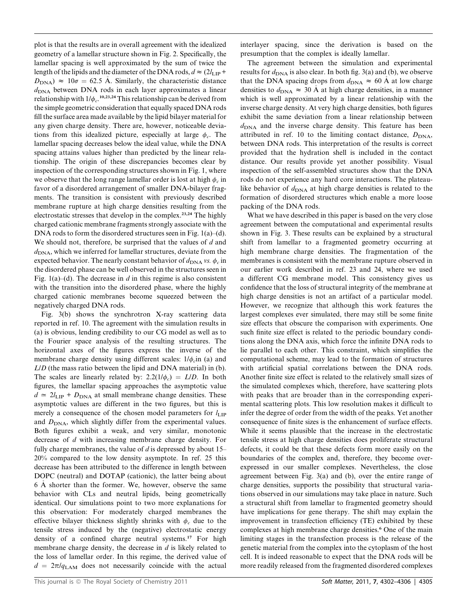plot is that the results are in overall agreement with the idealized geometry of a lamellar structure shown in Fig. 2. Specifically, the lamellar spacing is well approximated by the sum of twice the length of the lipids and the diameter of the DNA rods,  $d \approx (2l_{\text{LIP}}+$  $D_{\text{DNA}}$ )  $\approx 10\sigma = 62.5$  Å. Similarly, the characteristic distance  $d_{\text{DNA}}$  between DNA rods in each layer approximates a linear relationship with  $1/\phi_c$ .<sup>10,23,24</sup> This relationship can be derived from the simple geometric consideration that equally spaced DNA rods fill the surface area made available by the lipid bilayer material for any given charge density. There are, however, noticeable deviations from this idealized picture, especially at large  $\phi_c$ . The lamellar spacing decreases below the ideal value, while the DNA spacing attains values higher than predicted by the linear relationship. The origin of these discrepancies becomes clear by inspection of the corresponding structures shown in Fig. 1, where we observe that the long range lamellar order is lost at high  $\phi_c$  in favor of a disordered arrangement of smaller DNA-bilayer fragments. The transition is consistent with previously described membrane rupture at high charge densities resulting from the electrostatic stresses that develop in the complex.23,24 The highly charged cationic membrane fragments strongly associate with the DNA rods to form the disordered structures seen in Fig. 1(a)–(d). We should not, therefore, be surprised that the values of  $d$  and  $d_{\text{DNA}}$ , which we inferred for lamellar structures, deviate from the expected behavior. The nearly constant behavior of  $d_{\text{DNA}}$  vs.  $\phi_c$  in the disordered phase can be well observed in the structures seen in Fig. 1(a)–(d). The decrease in  $d$  in this regime is also consistent with the transition into the disordered phase, where the highly charged cationic membranes become squeezed between the negatively charged DNA rods.

Fig. 3(b) shows the synchrotron X-ray scattering data reported in ref. 10. The agreement with the simulation results in (a) is obvious, lending credibility to our CG model as well as to the Fourier space analysis of the resulting structures. The horizontal axes of the figures express the inverse of the membrane charge density using different scales:  $1/\phi_c$  in (a) and L/D (the mass ratio between the lipid and DNA material) in (b). The scales are linearly related by:  $2.2(1/\phi_c) = L/D$ . In both figures, the lamellar spacing approaches the asymptotic value  $d \approx 2l_{\text{LIP}} + D_{\text{DNA}}$  at small membrane change densities. These asymptotic values are different in the two figures, but this is merely a consequence of the chosen model parameters for  $l_{\text{LIP}}$ and  $D<sub>DNA</sub>$ , which slightly differ from the experimental values. Both figures exhibit a weak, and very similar, monotonic decrease of d with increasing membrane charge density. For fully charge membranes, the value of  $d$  is depressed by about 15– 20% compared to the low density asymptote. In ref. 25 this decrease has been attributed to the difference in length between DOPC (neutral) and DOTAP (cationic), the latter being about  $6$  Å shorter than the former. We, however, observe the same behavior with CLs and neutral lipids, being geometrically identical. Our simulations point to two more explanations for this observation: For moderately charged membranes the effective bilayer thickness slightly shrinks with  $\phi_c$  due to the tensile stress induced by the (negative) electrostatic energy density of a confined charge neutral systems.<sup>17</sup> For high membrane charge density, the decrease in d is likely related to the loss of lamellar order. In this regime, the derived value of  $d = 2\pi/q_{\text{LAM}}$  does not necessarily coincide with the actual

interlayer spacing, since the derivation is based on the presumption that the complex is ideally lamellar.

The agreement between the simulation and experimental results for  $d_{\text{DNA}}$  is also clear. In both fig. 3(a) and (b), we observe that the DNA spacing drops from  $d_{\text{DNA}} \approx 60 \text{ Å}$  at low charge densities to  $d_{\text{DNA}} \approx 30 \text{ Å}$  at high charge densities, in a manner which is well approximated by a linear relationship with the inverse charge density. At very high charge densities, both figures exhibit the same deviation from a linear relationship between  $d_{\text{DNA}}$  and the inverse charge density. This feature has been attributed in ref. 10 to the limiting contact distance,  $D_{\text{DNA}}$ , between DNA rods. This interpretation of the results is correct provided that the hydration shell is included in the contact distance. Our results provide yet another possibility. Visual inspection of the self-assembled structures show that the DNA rods do not experience any hard core interactions. The plateaulike behavior of  $d_{\text{DNA}}$  at high charge densities is related to the formation of disordered structures which enable a more loose packing of the DNA rods.

What we have described in this paper is based on the very close agreement between the computational and experimental results shown in Fig. 3. These results can be explained by a structural shift from lamellar to a fragmented geometry occurring at high membrane charge densities. The fragmentation of the membranes is consistent with the membrane rupture observed in our earlier work described in ref. 23 and 24, where we used a different CG membrane model. This consistency gives us confidence that the loss of structural integrity of the membrane at high charge densities is not an artifact of a particular model. However, we recognize that although this work features the largest complexes ever simulated, there may still be some finite size effects that obscure the comparison with experiments. One such finite size effect is related to the periodic boundary conditions along the DNA axis, which force the infinite DNA rods to lie parallel to each other. This constraint, which simplifies the computational scheme, may lead to the formation of structures with artificial spatial correlations between the DNA rods. Another finite size effect is related to the relatively small sizes of the simulated complexes which, therefore, have scattering plots with peaks that are broader than in the corresponding experimental scattering plots. This low resolution makes it difficult to infer the degree of order from the width of the peaks. Yet another consequence of finite sizes is the enhancement of surface effects. While it seems plausible that the increase in the electrostatic tensile stress at high charge densities does proliferate structural defects, it could be that these defects form more easily on the boundaries of the complex and, therefore, they become overexpressed in our smaller complexes. Nevertheless, the close agreement between Fig. 3(a) and (b), over the entire range of charge densities, supports the possibility that structural variations observed in our simulations may take place in nature. Such a structural shift from lamellar to fragmented geometry should have implications for gene therapy. The shift may explain the improvement in transfection efficiency (TE) exhibited by these complexes at high membrane charge densities.<sup>6</sup> One of the main limiting stages in the transfection process is the release of the genetic material from the complex into the cytoplasm of the host cell. It is indeed reasonable to expect that the DNA rods will be more readily released from the fragmented disordered complexes